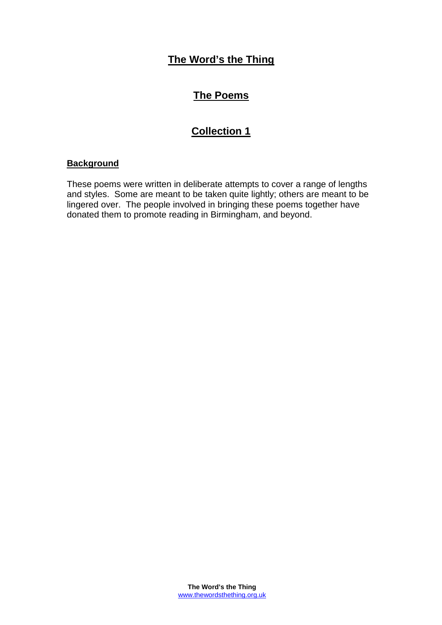# **The Word's the Thing**

# **The Poems**

# **Collection 1**

## **Background**

These poems were written in deliberate attempts to cover a range of lengths and styles. Some are meant to be taken quite lightly; others are meant to be lingered over. The people involved in bringing these poems together have donated them to promote reading in Birmingham, and beyond.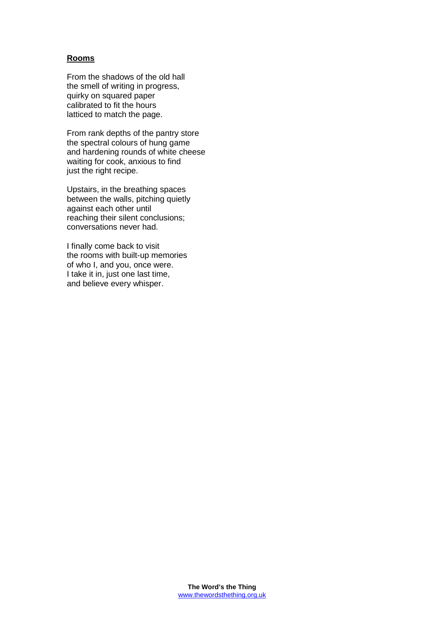### **Rooms**

From the shadows of the old hall the smell of writing in progress, quirky on squared paper calibrated to fit the hours latticed to match the page.

From rank depths of the pantry store the spectral colours of hung game and hardening rounds of white cheese waiting for cook, anxious to find just the right recipe.

Upstairs, in the breathing spaces between the walls, pitching quietly against each other until reaching their silent conclusions; conversations never had.

I finally come back to visit the rooms with built-up memories of who I, and you, once were. I take it in, just one last time, and believe every whisper.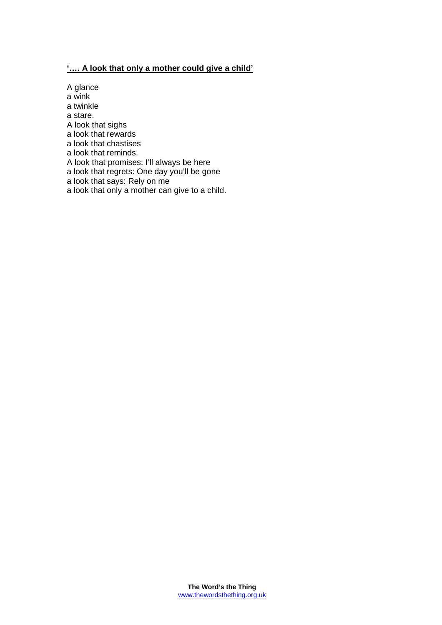## **'…. A look that only a mother could give a child'**

A glance

a wink

a twinkle

a stare.

A look that sighs

a look that rewards a look that chastises

a look that reminds.

A look that promises: I'll always be here

a look that regrets: One day you'll be gone

a look that says: Rely on me

a look that only a mother can give to a child.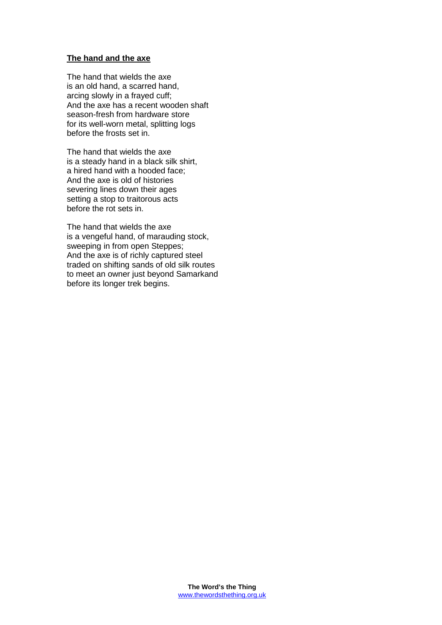#### **The hand and the axe**

The hand that wields the axe is an old hand, a scarred hand, arcing slowly in a frayed cuff; And the axe has a recent wooden shaft season-fresh from hardware store for its well-worn metal, splitting logs before the frosts set in.

The hand that wields the axe is a steady hand in a black silk shirt, a hired hand with a hooded face; And the axe is old of histories severing lines down their ages setting a stop to traitorous acts before the rot sets in.

The hand that wields the axe is a vengeful hand, of marauding stock, sweeping in from open Steppes; And the axe is of richly captured steel traded on shifting sands of old silk routes to meet an owner just beyond Samarkand before its longer trek begins.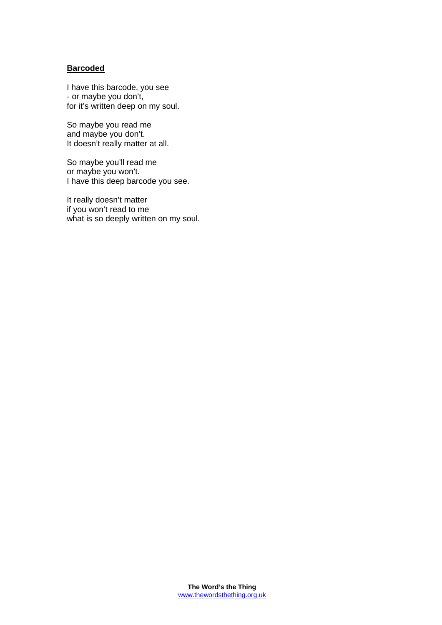#### **Barcoded**

I have this barcode, you see - or maybe you don't, for it's written deep on my soul.

So maybe you read me and maybe you don't. It doesn't really matter at all.

So maybe you'll read me or maybe you won't. I have this deep barcode you see.

It really doesn't matter if you won't read to me what is so deeply written on my soul.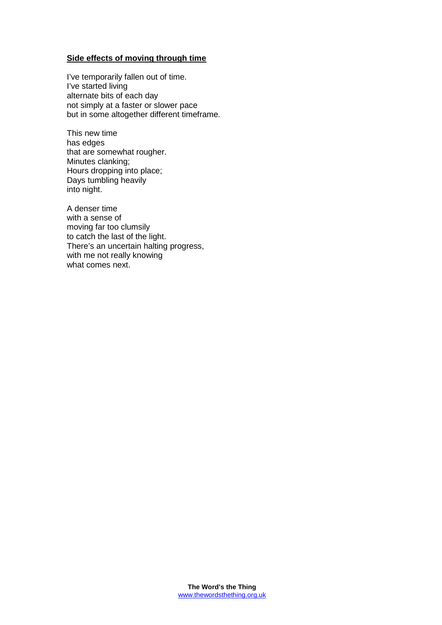### **Side effects of moving through time**

I've temporarily fallen out of time. I've started living alternate bits of each day not simply at a faster or slower pace but in some altogether different timeframe.

This new time has edges that are somewhat rougher. Minutes clanking; Hours dropping into place; Days tumbling heavily into night.

A denser time with a sense of moving far too clumsily to catch the last of the light. There's an uncertain halting progress, with me not really knowing what comes next.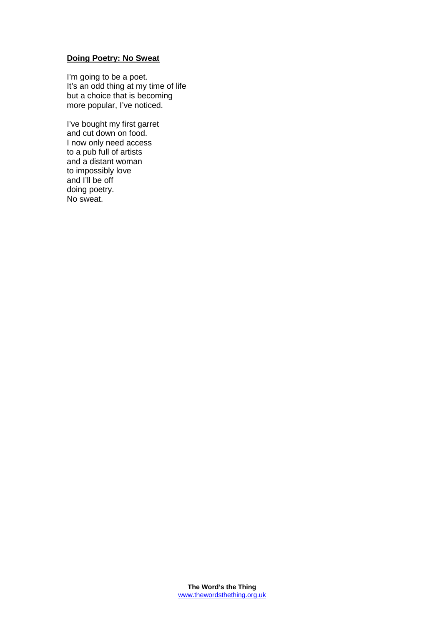## **Doing Poetry: No Sweat**

I'm going to be a poet. It's an odd thing at my time of life but a choice that is becoming more popular, I've noticed.

I've bought my first garret and cut down on food. I now only need access to a pub full of artists and a distant woman to impossibly love and I'll be off doing poetry. No sweat.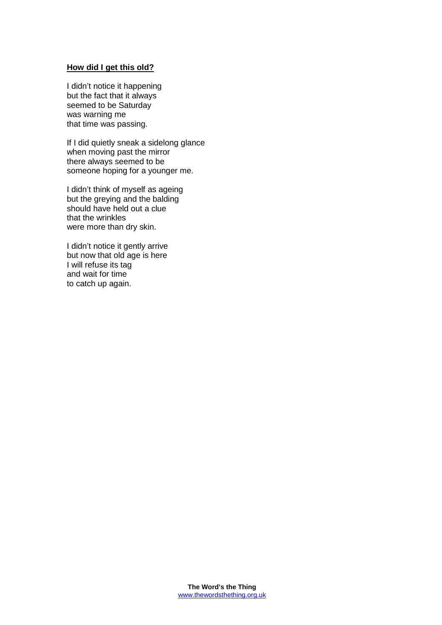#### **How did I get this old?**

I didn't notice it happening but the fact that it always seemed to be Saturday was warning me that time was passing.

If I did quietly sneak a sidelong glance when moving past the mirror there always seemed to be someone hoping for a younger me.

I didn't think of myself as ageing but the greying and the balding should have held out a clue that the wrinkles were more than dry skin.

I didn't notice it gently arrive but now that old age is here I will refuse its tag and wait for time to catch up again.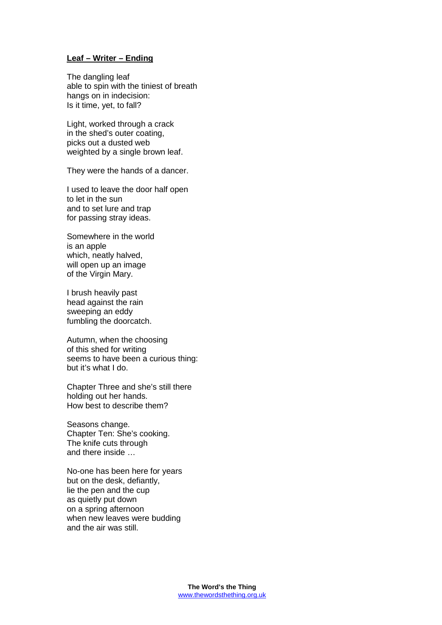## **Leaf – Writer – Ending**

The dangling leaf able to spin with the tiniest of breath hangs on in indecision: Is it time, yet, to fall?

Light, worked through a crack in the shed's outer coating, picks out a dusted web weighted by a single brown leaf.

They were the hands of a dancer.

I used to leave the door half open to let in the sun and to set lure and trap for passing stray ideas.

Somewhere in the world is an apple which, neatly halved, will open up an image of the Virgin Mary.

I brush heavily past head against the rain sweeping an eddy fumbling the doorcatch.

Autumn, when the choosing of this shed for writing seems to have been a curious thing: but it's what I do.

Chapter Three and she's still there holding out her hands. How best to describe them?

Seasons change. Chapter Ten: She's cooking. The knife cuts through and there inside …

No-one has been here for years but on the desk, defiantly, lie the pen and the cup as quietly put down on a spring afternoon when new leaves were budding and the air was still.